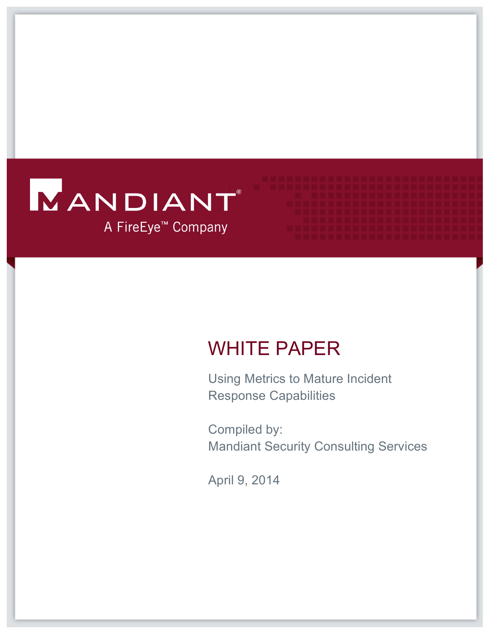# MANDIANT A FireEye<sup>™</sup> Company

## WHITE PAPER

 Using Metrics to Mature Incident Response Capabilities

 Mandiant Security Consulting Services Compiled by:

April 9, 2014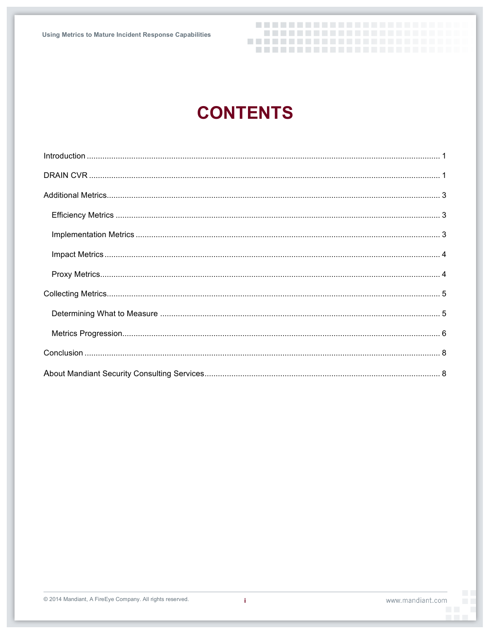## **CONTENTS**

---------------------

----------------------

--------------------------------------------------

Ť.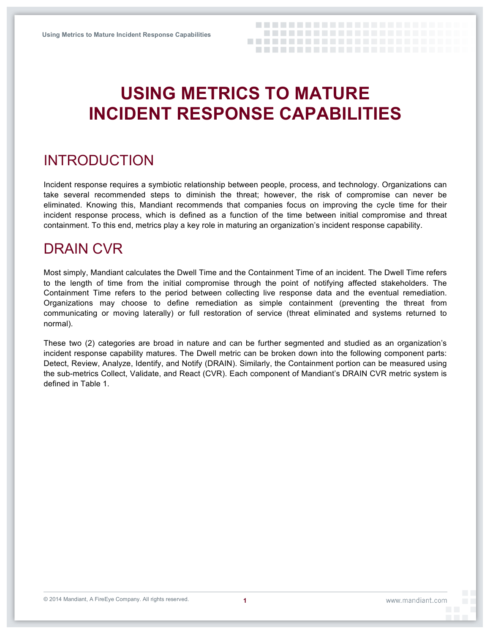## **USING METRICS TO MATURE INCIDENT RESPONSE CAPABILITIES**

### INTRODUCTION

 Incident response requires a symbiotic relationship between people, process, and technology. Organizations can take several recommended steps to diminish the threat; however, the risk of compromise can never be eliminated. Knowing this, Mandiant recommends that companies focus on improving the cycle time for their incident response process, which is defined as a function of the time between initial compromise and threat containment. To this end, metrics play a key role in maturing an organization's incident response capability.

### DRAIN CVR

 Most simply, Mandiant calculates the Dwell Time and the Containment Time of an incident. The Dwell Time refers to the length of time from the initial compromise through the point of notifying affected stakeholders. The Containment Time refers to the period between collecting live response data and the eventual remediation. Organizations may choose to define remediation as simple containment (preventing the threat from communicating or moving laterally) or full restoration of service (threat eliminated and systems returned to normal).

 These two (2) categories are broad in nature and can be further segmented and studied as an organization's incident response capability matures. The Dwell metric can be broken down into the following component parts: Detect, Review, Analyze, Identify, and Notify (DRAIN). Similarly, the Containment portion can be measured using the sub-metrics Collect, Validate, and React (CVR). Each component of Mandiant's DRAIN CVR metric system is defined in Table 1.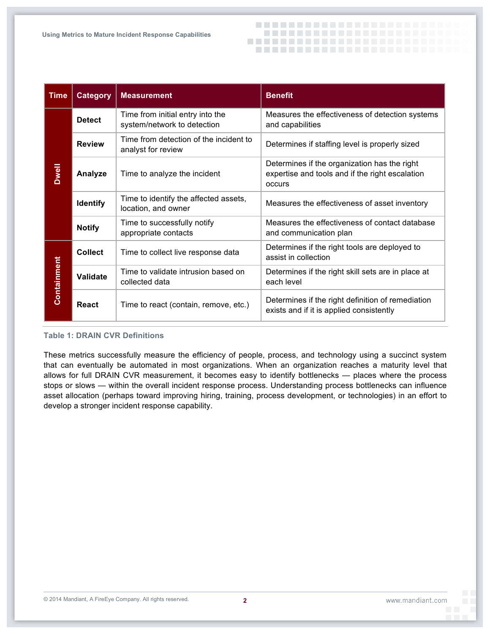

| <b>Time</b>  | <b>Category</b> | <b>Measurement</b>                                              | <b>Benefit</b>                                                                                            |
|--------------|-----------------|-----------------------------------------------------------------|-----------------------------------------------------------------------------------------------------------|
| <b>Dwell</b> | <b>Detect</b>   | Time from initial entry into the<br>system/network to detection | Measures the effectiveness of detection systems<br>and capabilities                                       |
|              | <b>Review</b>   | Time from detection of the incident to<br>analyst for review    | Determines if staffing level is properly sized                                                            |
|              | Analyze         | Time to analyze the incident                                    | Determines if the organization has the right<br>expertise and tools and if the right escalation<br>occurs |
|              | <b>Identify</b> | Time to identify the affected assets,<br>location, and owner    | Measures the effectiveness of asset inventory                                                             |
|              | <b>Notify</b>   | Time to successfully notify<br>appropriate contacts             | Measures the effectiveness of contact database<br>and communication plan                                  |
| Containment  | <b>Collect</b>  | Time to collect live response data                              | Determines if the right tools are deployed to<br>assist in collection                                     |
|              | <b>Validate</b> | Time to validate intrusion based on<br>collected data           | Determines if the right skill sets are in place at<br>each level                                          |
|              | <b>React</b>    | Time to react (contain, remove, etc.)                           | Determines if the right definition of remediation<br>exists and if it is applied consistently             |

 **Table 1: DRAIN CVR Definitions** 

 These metrics successfully measure the efficiency of people, process, and technology using a succinct system that can eventually be automated in most organizations. When an organization reaches a maturity level that allows for full DRAIN CVR measurement, it becomes easy to identify bottlenecks — places where the process stops or slows — within the overall incident response process. Understanding process bottlenecks can influence asset allocation (perhaps toward improving hiring, training, process development, or technologies) in an effort to develop a stronger incident response capability.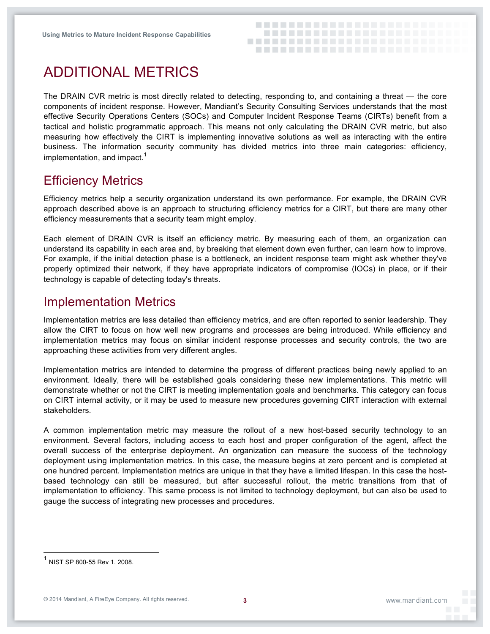

## ADDITIONAL METRICS

 The DRAIN CVR metric is most directly related to detecting, responding to, and containing a threat — the core components of incident response. However, Mandiant's Security Consulting Services understands that the most effective Security Operations Centers (SOCs) and Computer Incident Response Teams (CIRTs) benefit from a tactical and holistic programmatic approach. This means not only calculating the DRAIN CVR metric, but also measuring how effectively the CIRT is implementing innovative solutions as well as interacting with the entire business. The information security community has divided metrics into three main categories: efficiency, implementation, and impact.<sup>1</sup>

### **Efficiency Metrics**

Efficiency Metrics<br>Efficiency metrics help a security organization understand its own performance. For example, the DRAIN CVR approach described above is an approach to structuring efficiency metrics for a CIRT, but there are many other efficiency measurements that a security team might employ.

 Each element of DRAIN CVR is itself an efficiency metric. By measuring each of them, an organization can understand its capability in each area and, by breaking that element down even further, can learn how to improve. For example, if the initial detection phase is a bottleneck, an incident response team might ask whether they've properly optimized their network, if they have appropriate indicators of compromise (IOCs) in place, or if their technology is capable of detecting today's threats.

#### Implementation Metrics

 Implementation metrics are less detailed than efficiency metrics, and are often reported to senior leadership. They allow the CIRT to focus on how well new programs and processes are being introduced. While efficiency and implementation metrics may focus on similar incident response processes and security controls, the two are approaching these activities from very different angles.

 Implementation metrics are intended to determine the progress of different practices being newly applied to an environment. Ideally, there will be established goals considering these new implementations. This metric will demonstrate whether or not the CIRT is meeting implementation goals and benchmarks. This category can focus on CIRT internal activity, or it may be used to measure new procedures governing CIRT interaction with external stakeholders.

 A common implementation metric may measure the rollout of a new host-based security technology to an environment. Several factors, including access to each host and proper configuration of the agent, affect the overall success of the enterprise deployment. An organization can measure the success of the technology deployment using implementation metrics. In this case, the measure begins at zero percent and is completed at one hundred percent. Implementation metrics are unique in that they have a limited lifespan. In this case the host- based technology can still be measured, but after successful rollout, the metric transitions from that of implementation to efficiency. This same process is not limited to technology deployment, but can also be used to gauge the success of integrating new processes and procedures.

1

 $^{\text{1}}$  NIST SP 800-55 Rev 1. 2008.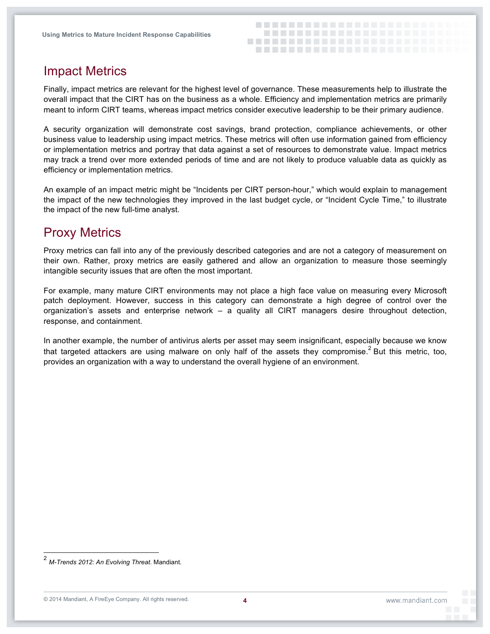

### Impact Metrics

 Finally, impact metrics are relevant for the highest level of governance. These measurements help to illustrate the overall impact that the CIRT has on the business as a whole. Efficiency and implementation metrics are primarily meant to inform CIRT teams, whereas impact metrics consider executive leadership to be their primary audience.

 A security organization will demonstrate cost savings, brand protection, compliance achievements, or other business value to leadership using impact metrics. These metrics will often use information gained from efficiency or implementation metrics and portray that data against a set of resources to demonstrate value. Impact metrics may track a trend over more extended periods of time and are not likely to produce valuable data as quickly as efficiency or implementation metrics.

 An example of an impact metric might be "Incidents per CIRT person-hour," which would explain to management the impact of the new technologies they improved in the last budget cycle, or "Incident Cycle Time," to illustrate the impact of the new full-time analyst.

### Proxy Metrics

 Proxy metrics can fall into any of the previously described categories and are not a category of measurement on their own. Rather, proxy metrics are easily gathered and allow an organization to measure those seemingly intangible security issues that are often the most important.

 For example, many mature CIRT environments may not place a high face value on measuring every Microsoft patch deployment. However, success in this category can demonstrate a high degree of control over the organization's assets and enterprise network – a quality all CIRT managers desire throughout detection, response, and containment.

 In another example, the number of antivirus alerts per asset may seem insignificant, especially because we know that targeted attackers are using malware on only half of the assets they compromise.<sup>2</sup> But this metric, too, provides an organization with a way to understand the overall hygiene of an environment.

1

 <sup>2</sup>*M-Trends 2012: An Evolving Threat*. Mandiant.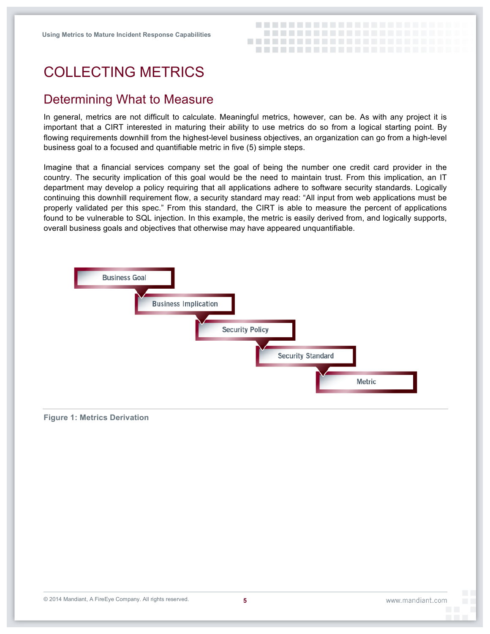

### COLLECTING METRICS

#### Determining What to Measure

 In general, metrics are not difficult to calculate. Meaningful metrics, however, can be. As with any project it is important that a CIRT interested in maturing their ability to use metrics do so from a logical starting point. By flowing requirements downhill from the highest-level business objectives, an organization can go from a high-level business goal to a focused and quantifiable metric in five (5) simple steps.

 Imagine that a financial services company set the goal of being the number one credit card provider in the country. The security implication of this goal would be the need to maintain trust. From this implication, an IT department may develop a policy requiring that all applications adhere to software security standards. Logically continuing this downhill requirement flow, a security standard may read: "All input from web applications must be properly validated per this spec." From this standard, the CIRT is able to measure the percent of applications found to be vulnerable to SQL injection. In this example, the metric is easily derived from, and logically supports, overall business goals and objectives that otherwise may have appeared unquantifiable.



#### **Figure 1: Metrics Derivation**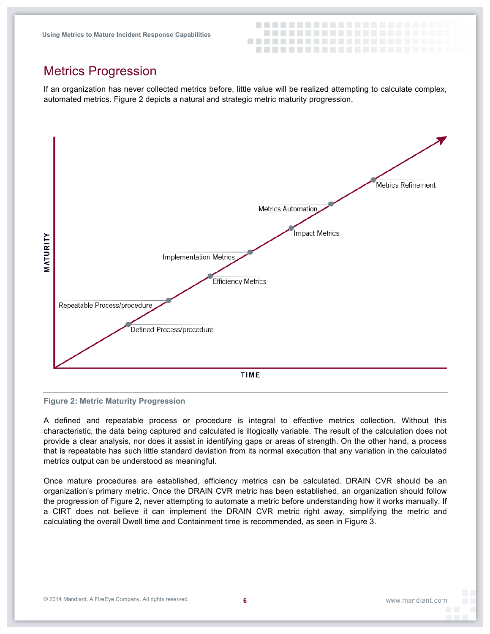

### Metrics Progression

 If an organization has never collected metrics before, little value will be realized attempting to calculate complex, automated metrics. Figure 2 depicts a natural and strategic metric maturity progression.



#### **Figure 2: Metric Maturity Progression**

 A defined and repeatable process or procedure is integral to effective metrics collection. Without this characteristic, the data being captured and calculated is illogically variable. The result of the calculation does not provide a clear analysis, nor does it assist in identifying gaps or areas of strength. On the other hand, a process that is repeatable has such little standard deviation from its normal execution that any variation in the calculated metrics output can be understood as meaningful.

 Once mature procedures are established, efficiency metrics can be calculated. DRAIN CVR should be an organization's primary metric. Once the DRAIN CVR metric has been established, an organization should follow the progression of Figure 2, never attempting to automate a metric before understanding how it works manually. If a CIRT does not believe it can implement the DRAIN CVR metric right away, simplifying the metric and calculating the overall Dwell time and Containment time is recommended, as seen in Figure 3.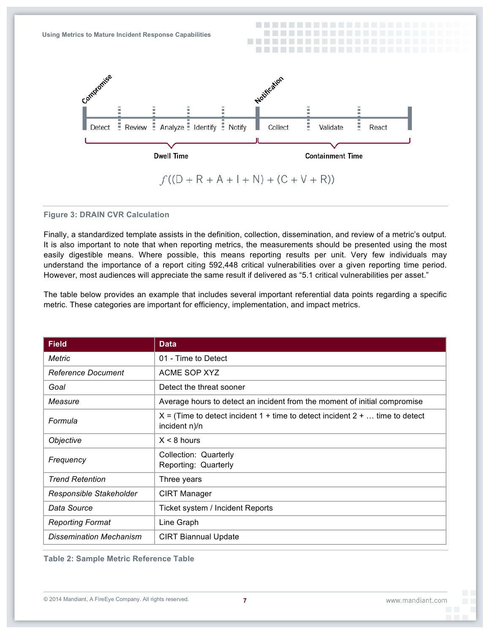

#### **Figure 3: DRAIN CVR Calculation**

 Finally, a standardized template assists in the definition, collection, dissemination, and review of a metric's output. It is also important to note that when reporting metrics, the measurements should be presented using the most easily digestible means. Where possible, this means reporting results per unit. Very few individuals may understand the importance of a report citing 592,448 critical vulnerabilities over a given reporting time period. However, most audiences will appreciate the same result if delivered as "5.1 critical vulnerabilities per asset."

 The table below provides an example that includes several important referential data points regarding a specific metric. These categories are important for efficiency, implementation, and impact metrics.

| <b>Field</b>              | <b>Data</b>                                                                                     |  |
|---------------------------|-------------------------------------------------------------------------------------------------|--|
| <b>Metric</b>             | 01 - Time to Detect                                                                             |  |
| <b>Reference Document</b> | ACME SOP XYZ                                                                                    |  |
| Goal                      | Detect the threat sooner                                                                        |  |
| Measure                   | Average hours to detect an incident from the moment of initial compromise                       |  |
| Formula                   | $X =$ (Time to detect incident 1 + time to detect incident 2 +  time to detect<br>incident n)/n |  |
| Objective                 | $X < 8$ hours                                                                                   |  |
| Frequency                 | Collection: Quarterly<br>Reporting: Quarterly                                                   |  |
| Trend Retention           | Three years                                                                                     |  |
| Responsible Stakeholder   | <b>CIRT Manager</b>                                                                             |  |
| Data Source               | Ticket system / Incident Reports                                                                |  |
| <b>Reporting Format</b>   | Line Graph                                                                                      |  |
| Dissemination Mechanism   | <b>CIRT Biannual Update</b>                                                                     |  |

 **Table 2: Sample Metric Reference Table**